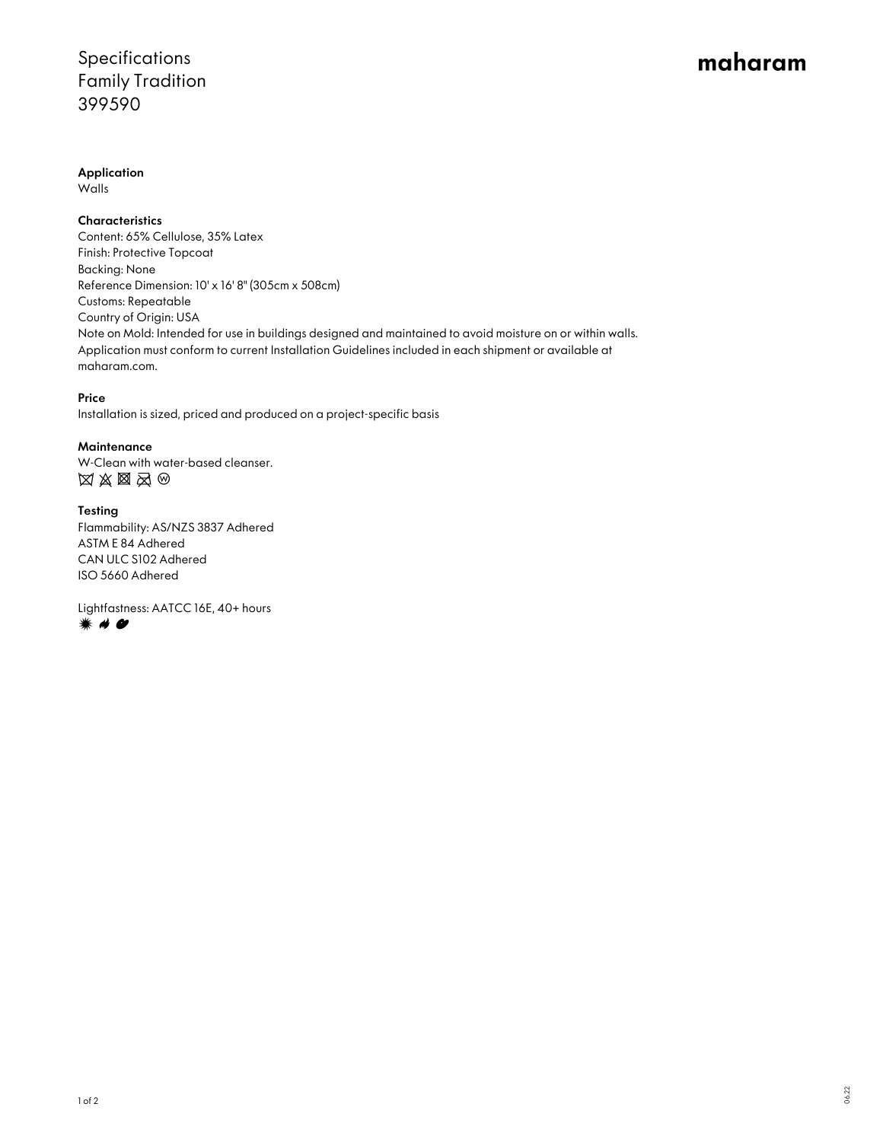### Specifications Family Tradition 399590

# maharam

Application

Walls

**Characteristics** 

Content: 65% Cellulose, 35% Latex Finish: Protective Topcoat Backing: None Reference Dimension: 10' x 16' 8" (305cm x 508cm) Customs: Repeatable Country of Origin: USA Note on Mold: Intended for use in buildings designed and maintained to avoid moisture on or within walls. Application must conform to current Installation Guidelines included in each shipment or available at maharam.com.

### Price

Installation is sized, priced and produced on a project-specific basis

### **Maintenance**

W-Clean with water-based cleanser.  $\boxtimes \boxtimes \boxtimes \boxtimes \odot$ 

#### Testing

Flammability: AS/NZS 3837 Adhered ASTM E 84 Adhered CAN ULC S102 Adhered ISO 5660 Adhered

Lightfastness: AATCC 16E, 40+ hours **☀ 〃 ●**